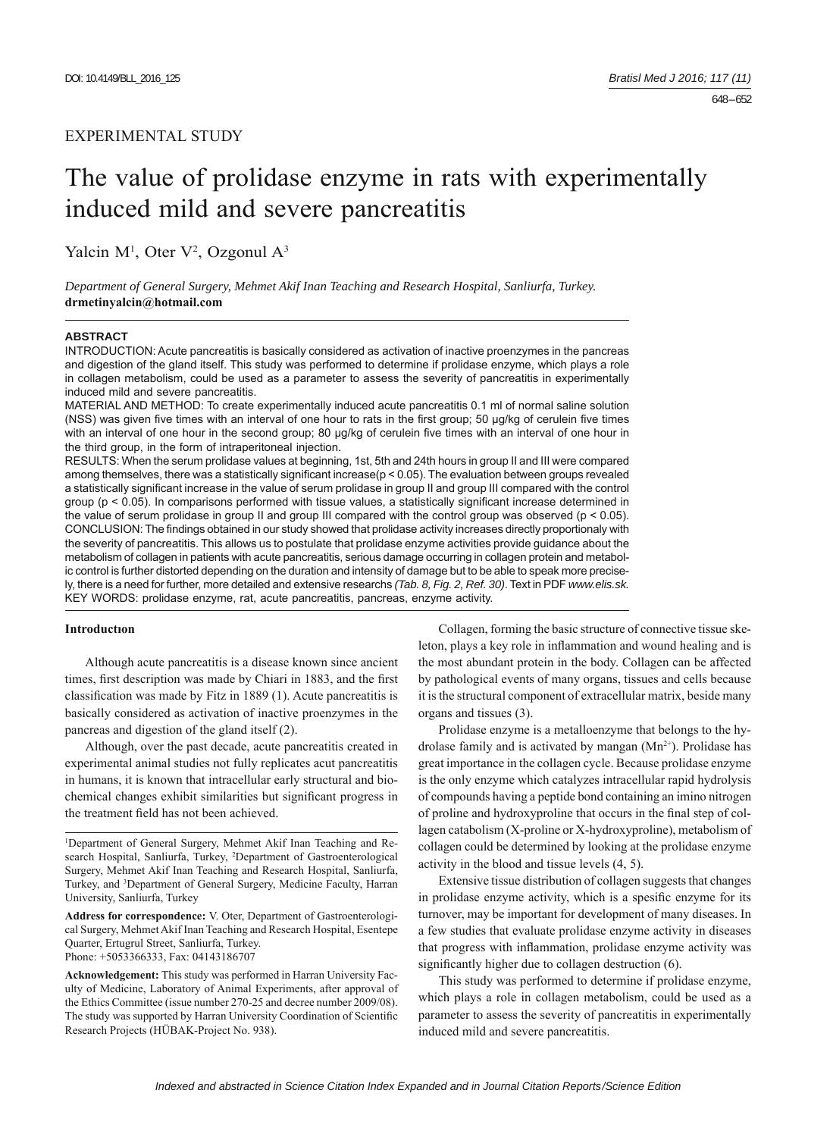# EXPERIMENTAL STUDY

# The value of prolidase enzyme in rats with experimentally induced mild and severe pancreatitis

Yalcin  $M<sup>1</sup>$ , Oter V<sup>2</sup>, Ozgonul A<sup>3</sup>

*Department of General Surgery, Mehmet Akif Inan Teaching and Research Hospital, Sanliurfa, Turkey.*  **drmetinyalcin@hotmail.com**

#### **ABSTRACT**

INTRODUCTION: Acute pancreatitis is basically considered as activation of inactive proenzymes in the pancreas and digestion of the gland itself. This study was performed to determine if prolidase enzyme, which plays a role in collagen metabolism, could be used as a parameter to assess the severity of pancreatitis in experimentally induced mild and severe pancreatitis.

MATERIAL AND METHOD: To create experimentally induced acute pancreatitis 0.1 ml of normal saline solution (NSS) was given five times with an interval of one hour to rats in the first group; 50 µg/kg of cerulein five times with an interval of one hour in the second group; 80 μg/kg of cerulein five times with an interval of one hour in the third group, in the form of intraperitoneal injection.

RESULTS: When the serum prolidase values at beginning, 1st, 5th and 24th hours in group II and III were compared among themselves, there was a statistically significant increase( $p < 0.05$ ). The evaluation between groups revealed a statistically significant increase in the value of serum prolidase in group II and group III compared with the control group ( $p < 0.05$ ). In comparisons performed with tissue values, a statistically significant increase determined in the value of serum prolidase in group II and group III compared with the control group was observed (p < 0.05). CONCLUSION: The findings obtained in our study showed that prolidase activity increases directly proportionaly with the severity of pancreatitis. This allows us to postulate that prolidase enzyme activities provide guidance about the metabolism of collagen in patients with acute pancreatitis, serious damage occurring in collagen protein and metabolic control is further distorted depending on the duration and intensity of damage but to be able to speak more precisely, there is a need for further, more detailed and extensive researchs *(Tab. 8, Fig. 2, Ref. 30)*. Text in PDF *www.elis.sk.* KEY WORDS: prolidase enzyme, rat, acute pancreatitis, pancreas, enzyme activity.

### **Introductıon**

Although acute pancreatitis is a disease known since ancient times, first description was made by Chiari in 1883, and the first classification was made by Fitz in 1889 (1). Acute pancreatitis is basically considered as activation of inactive proenzymes in the pancreas and digestion of the gland itself (2).

Although, over the past decade, acute pancreatitis created in experimental animal studies not fully replicates acut pancreatitis in humans, it is known that intracellular early structural and biochemical changes exhibit similarities but significant progress in the treatment field has not been achieved.

**Address for correspondence:** V. Oter, Department of Gastroenterological Surgery, Mehmet Akif Inan Teaching and Research Hospital, Esentepe Quarter, Ertugrul Street, Sanliurfa, Turkey. Phone: +5053366333, Fax: 04143186707

**Acknowledgement:** This study was performed in Harran University Faculty of Medicine, Laboratory of Animal Experiments, after approval of the Ethics Committee (issue number 270-25 and decree number 2009/08). The study was supported by Harran University Coordination of Scientific Research Projects (HÜBAK-Project No. 938).

Collagen, forming the basic structure of connective tissue skeleton, plays a key role in inflammation and wound healing and is the most abundant protein in the body. Collagen can be affected by pathological events of many organs, tissues and cells because it is the structural component of extracellular matrix, beside many organs and tissues (3).

Prolidase enzyme is a metalloenzyme that belongs to the hydrolase family and is activated by mangan  $(Mn^{2+})$ . Prolidase has great importance in the collagen cycle. Because prolidase enzyme is the only enzyme which catalyzes intracellular rapid hydrolysis of compounds having a peptide bond containing an imino nitrogen of proline and hydroxyproline that occurs in the final step of collagen catabolism (X-proline or X-hydroxyproline), metabolism of collagen could be determined by looking at the prolidase enzyme activity in the blood and tissue levels (4, 5).

Extensive tissue distribution of collagen suggests that changes in prolidase enzyme activity, which is a spesific enzyme for its turnover, may be important for development of many diseases. In a few studies that evaluate prolidase enzyme activity in diseases that progress with inflammation, prolidase enzyme activity was significantly higher due to collagen destruction (6).

This study was performed to determine if prolidase enzyme, which plays a role in collagen metabolism, could be used as a parameter to assess the severity of pancreatitis in experimentally induced mild and severe pancreatitis.

<sup>1</sup> Department of General Surgery, Mehmet Akif Inan Teaching and Research Hospital, Sanliurfa, Turkey, <sup>2</sup>Department of Gastroenterological Surgery, Mehmet Akif Inan Teaching and Research Hospital, Sanliurfa, Turkey, and 3 Department of General Surgery, Medicine Faculty, Harran University, Sanliurfa, Turkey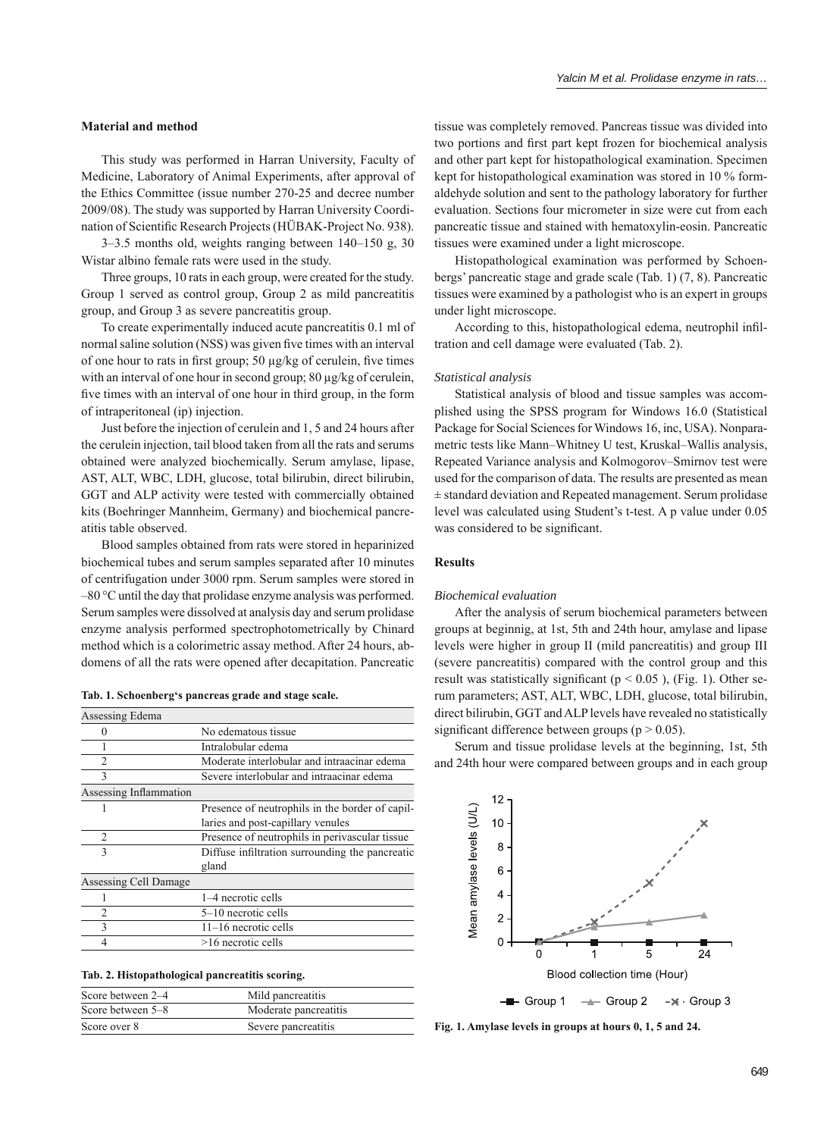# **Material and method**

This study was performed in Harran University, Faculty of Medicine, Laboratory of Animal Experiments, after approval of the Ethics Committee (issue number 270-25 and decree number 2009/08). The study was supported by Harran University Coordination of Scientific Research Projects (HÜBAK-Project No. 938).

3–3.5 months old, weights ranging between 140–150 g, 30 Wistar albino female rats were used in the study.

Three groups, 10 rats in each group, were created for the study. Group 1 served as control group, Group 2 as mild pancreatitis group, and Group 3 as severe pancreatitis group.

To create experimentally induced acute pancreatitis 0.1 ml of normal saline solution (NSS) was given five times with an interval of one hour to rats in first group;  $50 \mu g/kg$  of cerulein, five times with an interval of one hour in second group; 80 μg/kg of cerulein, five times with an interval of one hour in third group, in the form of intraperitoneal (ip) injection.

Just before the injection of cerulein and 1, 5 and 24 hours after the cerulein injection, tail blood taken from all the rats and serums obtained were analyzed biochemically. Serum amylase, lipase, AST, ALT, WBC, LDH, glucose, total bilirubin, direct bilirubin, GGT and ALP activity were tested with commercially obtained kits (Boehringer Mannheim, Germany) and biochemical pancreatitis table observed.

Blood samples obtained from rats were stored in heparinized biochemical tubes and serum samples separated after 10 minutes of centrifugation under 3000 rpm. Serum samples were stored in –80 °C until the day that prolidase enzyme analysis was performed. Serum samples were dissolved at analysis day and serum prolidase enzyme analysis performed spectrophotometrically by Chinard method which is a colorimetric assay method. After 24 hours, abdomens of all the rats were opened after decapitation. Pancreatic

|  |  | Tab. 1. Schoenberg's pancreas grade and stage scale. |  |  |
|--|--|------------------------------------------------------|--|--|
|  |  |                                                      |  |  |

| Assessing Edema        |                                                          |
|------------------------|----------------------------------------------------------|
|                        | No edematous tissue                                      |
|                        | Intralobular edema                                       |
| $\mathfrak{D}$         | Moderate interlobular and intraacinar edema              |
| 3                      | Severe interlobular and intraacinar edema                |
| Assessing Inflammation |                                                          |
|                        | Presence of neutrophils in the border of capil-          |
|                        | laries and post-capillary venules                        |
| $\mathfrak{D}$         | Presence of neutrophils in perivascular tissue           |
| $\mathbf{3}$           | Diffuse infiltration surrounding the pancreatic<br>gland |
| Assessing Cell Damage  |                                                          |
|                        | 1–4 necrotic cells                                       |
| 2                      | 5-10 necrotic cells                                      |
| ς                      | 11-16 necrotic cells                                     |
|                        | $>16$ necrotic cells                                     |
|                        |                                                          |

#### **Tab. 2. Histopathological pancreatitis scoring.**

| Score between 2-4 | Mild pancreatitis     |
|-------------------|-----------------------|
| Score between 5-8 | Moderate pancreatitis |
| Score over 8      | Severe pancreatitis   |

tissue was completely removed. Pancreas tissue was divided into two portions and first part kept frozen for biochemical analysis and other part kept for histopathological examination. Specimen kept for histopathological examination was stored in 10 % formaldehyde solution and sent to the pathology laboratory for further evaluation. Sections four micrometer in size were cut from each pancreatic tissue and stained with hematoxylin-eosin. Pancreatic tissues were examined under a light microscope.

Histopathological examination was performed by Schoenbergs' pancreatic stage and grade scale (Tab. 1) (7, 8). Pancreatic tissues were examined by a pathologist who is an expert in groups under light microscope.

According to this, histopathological edema, neutrophil infiltration and cell damage were evaluated (Tab. 2).

#### *Statistical analysis*

Statistical analysis of blood and tissue samples was accomplished using the SPSS program for Windows 16.0 (Statistical Package for Social Sciences for Windows 16, inc, USA). Nonparametric tests like Mann–Whitney U test, Kruskal–Wallis analysis, Repeated Variance analysis and Kolmogorov–Smirnov test were used for the comparison of data. The results are presented as mean ± standard deviation and Repeated management. Serum prolidase level was calculated using Student's t-test. A p value under 0.05 was considered to be significant.

### **Results**

### *Biochemical evaluation*

After the analysis of serum biochemical parameters between groups at beginnig, at 1st, 5th and 24th hour, amylase and lipase levels were higher in group II (mild pancreatitis) and group III (severe pancreatitis) compared with the control group and this result was statistically significant ( $p < 0.05$ ), (Fig. 1). Other serum parameters; AST, ALT, WBC, LDH, glucose, total bilirubin, direct bilirubin, GGT and ALP levels have revealed no statistically significant difference between groups ( $p > 0.05$ ).

Serum and tissue prolidase levels at the beginning, 1st, 5th and 24th hour were compared between groups and in each group



**Fig. 1. Amylase levels in groups at hours 0, 1, 5 and 24.**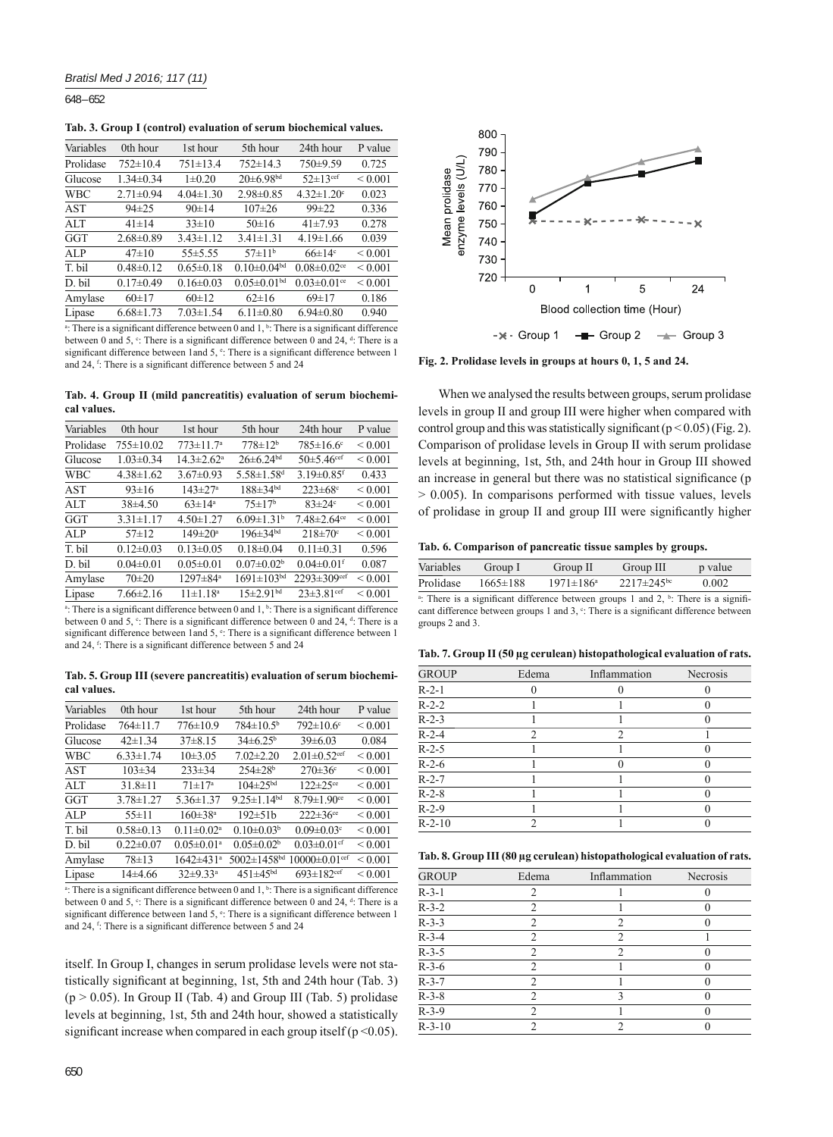648 – 652

**Tab. 3. Group I (control) evaluation of serum biochemical values.**

| Variables  | 0th hour        | 1st hour        | 5th hour           | 24th hour                     | P value      |
|------------|-----------------|-----------------|--------------------|-------------------------------|--------------|
| Prolidase  | $752 \pm 10.4$  | $751 \pm 13.4$  | $752 \pm 14.3$     | 750±9.59                      | 0.725        |
| Glucose    | $1.34 \pm 0.34$ | $1 \pm 0.20$    | $20 \pm 6.98$ bd   | $52 \pm 13$ <sup>cef</sup>    | ${}_{0.001}$ |
| <b>WBC</b> | $2.71 \pm 0.94$ | $4.04 \pm 1.30$ | $2.98 \pm 0.85$    | $4.32 \pm 1.20$ <sup>c</sup>  | 0.023        |
| <b>AST</b> | $94 \pm 25$     | 90±14           | $107 \pm 26$       | $99 \pm 22$                   | 0.336        |
| ALT        | $41 \pm 14$     | $33 \pm 10$     | $50 \pm 16$        | $41\pm7.93$                   | 0.278        |
| GGT        | $2.68 \pm 0.89$ | $3.43 \pm 1.12$ | $3.41 \pm 1.31$    | $4.19 \pm 1.66$               | 0.039        |
| $A$ I P    | $47\pm10$       | $55 + 5.55$     | $57 \pm 11^{b}$    | $66\pm14$ °                   | ${}_{0.001}$ |
| T. bil     | $0.48 \pm 0.12$ | $0.65 \pm 0.18$ | $0.10\pm0.04^{bd}$ | $0.08 \pm 0.02$ <sup>ce</sup> | ${}_{0.001}$ |
| D. bil     | $0.17 \pm 0.49$ | $0.16 \pm 0.03$ | $0.05 \pm 0.01bd$  | $0.03 \pm 0.01$ <sup>ce</sup> | ${}_{0.001}$ |
| Amylase    | 60±17           | 60±12           | $62\pm16$          | $69 \pm 17$                   | 0.186        |
| Lipase     | $6.68 \pm 1.73$ | $7.03 \pm 1.54$ | $6.11 \pm 0.80$    | $6.94 \pm 0.80$               | 0.940        |
|            |                 |                 |                    |                               |              |

<sup>a</sup>: There is a significant difference between 0 and  $1, b$ . There is a significant difference between 0 and 5,  $\degree$ : There is a significant difference between 0 and 24,  $\degree$ : There is a significant difference between 1 and  $5$ ,  $\degree$ : There is a significant difference between 1 and 24, <sup>f</sup>: There is a significant difference between 5 and 24

**Tab. 4. Group II (mild pancreatitis) evaluation of serum biochemical values.**

| Variables                                                                               | 0th hour        | 1st hour                     | 5th hour                     | 24th hour                     | P value      |  |
|-----------------------------------------------------------------------------------------|-----------------|------------------------------|------------------------------|-------------------------------|--------------|--|
| Prolidase                                                                               | 755±10.02       | $773 \pm 11.7^a$             | $778 \pm 12^{b}$             | $785 \pm 16.6$ <sup>c</sup>   | ${}_{0.001}$ |  |
| Glucose                                                                                 | $1.03 \pm 0.34$ | $14.3 \pm 2.62$ <sup>a</sup> | $26 \pm 6.24$ <sup>bd</sup>  | $50 \pm 5.46$ <sup>cef</sup>  | ${}_{0.001}$ |  |
| <b>WBC</b>                                                                              | $4.38 \pm 1.62$ | $3.67 \pm 0.93$              | $5.58 \pm 1.58$ <sup>d</sup> | $3.19 \pm 0.85$ <sup>f</sup>  | 0.433        |  |
| AST                                                                                     | $93 \pm 16$     | $143 \pm 27$ <sup>a</sup>    | $188 \pm 34$ <sup>bd</sup>   | $223 \pm 68$ °                | ${}_{0.001}$ |  |
| ALT                                                                                     | $38\pm4.50$     | $63 \pm 14^a$                | $75 \pm 17$ <sup>b</sup>     | $83 \pm 24$ °                 | < 0.001      |  |
| GGT                                                                                     | $3.31 \pm 1.17$ | $4.50 \pm 1.27$              | $6.09 \pm 1.31$ <sup>b</sup> | $7.48 \pm 2.64$ <sup>ce</sup> | ${}_{0.001}$ |  |
| ALP                                                                                     | $57\pm12$       | $149 \pm 20^{\circ}$         | $196 \pm 34$ <sup>bd</sup>   | $218 \pm 70$ °                | ${}_{0.001}$ |  |
| T. bil                                                                                  | $0.12 \pm 0.03$ | $0.13 \pm 0.05$              | $0.18 \pm 0.04$              | $0.11 \pm 0.31$               | 0.596        |  |
| D. bil                                                                                  | $0.04 \pm 0.01$ | $0.05 \pm 0.01$              | $0.07 \pm 0.02$ <sup>b</sup> | $0.04 \pm 0.01$ <sup>f</sup>  | 0.087        |  |
| Amylase                                                                                 | $70 \pm 20$     | 1297±84 <sup>a</sup>         | $1691 \pm 103^{bd}$          | 2293±309cef                   | ${}_{0.001}$ |  |
| Lipase                                                                                  | $7.66 \pm 2.16$ | $11 \pm 1.18^a$              | $15 \pm 2.91$ <sup>bd</sup>  | $23 \pm 3.81$ <sup>cef</sup>  | ${}_{0.001}$ |  |
| $\alpha$ and $\beta$ . The $\alpha$ is $\alpha$ is $\alpha$ is the $\alpha$ in $\alpha$ |                 |                              |                              |                               |              |  |

<sup>a</sup>: There is a significant difference between 0 and  $1$ ,  $^b$ : There is a significant difference between 0 and 5,  $\degree$ : There is a significant difference between 0 and 24,  $\degree$ : There is a significant difference between 1 and  $5$ ,  $\degree$ : There is a significant difference between 1 and 24, <sup>f</sup>: There is a significant difference between 5 and 24

**Tab. 5. Group III (severe pancreatitis) evaluation of serum biochemical values.**

| Variables  | 0th hour        | 1st hour                     | 5th hour                      | 24th hour                      | P value      |
|------------|-----------------|------------------------------|-------------------------------|--------------------------------|--------------|
| Prolidase  | $764 \pm 11.7$  | $776 \pm 10.9$               | $784 \pm 10.5^b$              | $792 \pm 10.6$ <sup>c</sup>    | ${}_{0.001}$ |
| Glucose    | $42 \pm 1.34$   | $37\pm8.15$                  | $34\pm6.25^{\rm b}$           | $39 \pm 6.03$                  | 0.084        |
| <b>WBC</b> | $6.33 \pm 1.74$ | $10\pm3.05$                  | $7.02 \pm 2.20$               | $2.01 \pm 0.52$ <sup>cef</sup> | ${}_{0.001}$ |
| AST        | $103 \pm 34$    | $233 \pm 34$                 | $254 \pm 28$ <sup>b</sup>     | $270 \pm 36$ °                 | ${}_{0.001}$ |
| ALT        | $31.8 \pm 11$   | $71 \pm 17^a$                | $104 \pm 25$ <sup>bd</sup>    | $122 \pm 25$ <sup>ce</sup>     | < 0.001      |
| GGT        | $3.78 \pm 1.27$ | $5.36 \pm 1.37$              | $9.25 \pm 1.14^{bd}$          | $8.79 \pm 1.90$ <sup>ce</sup>  | < 0.001      |
| ALP        | $55 \pm 11$     | $160 \pm 38$ <sup>a</sup>    | $192 \pm 51h$                 | $222 \pm 36$ <sup>ce</sup>     | < 0.001      |
| T. bil     | $0.58 \pm 0.13$ | $0.11 \pm 0.02^a$            | $0.10 \pm 0.03^b$             | $0.09 \pm 0.03$ <sup>c</sup>   | < 0.001      |
| D. bil     | $0.22 \pm 0.07$ | $0.05 \pm 0.01$ <sup>a</sup> | $0.05 \pm 0.02$ <sup>b</sup>  | $0.03 \pm 0.01$ cf             | ${}_{0.001}$ |
| Amylase    | $78 \pm 13$     | $1642 \pm 431$ <sup>a</sup>  | $5002 \pm 1458$ <sup>bd</sup> | $10000 \pm 0.01$ cef           | < 0.001      |
| Lipase     | 14±4.66         | $32\pm9.33^a$                | $451 \pm 45^{bd}$             | $693 \pm 182$ <sup>cef</sup>   | ${}_{0.001}$ |

<sup>a</sup>: There is a significant difference between 0 and  $1$ ,  $^b$ : There is a significant difference between 0 and 5,  $\degree$ : There is a significant difference between 0 and 24,  $\degree$ : There is a significant difference between 1 and  $5$ ,  $\degree$ : There is a significant difference between 1 and 24, f: There is a significant difference between 5 and 24

itself. In Group I, changes in serum prolidase levels were not statistically significant at beginning, 1st, 5th and 24th hour (Tab. 3)  $(p > 0.05)$ . In Group II (Tab. 4) and Group III (Tab. 5) prolidase levels at beginning, 1st, 5th and 24th hour, showed a statistically significant increase when compared in each group itself ( $p \le 0.05$ ).



**Fig. 2. Prolidase levels in groups at hours 0, 1, 5 and 24.**

When we analysed the results between groups, serum prolidase levels in group II and group III were higher when compared with control group and this was statistically significant ( $p < 0.05$ ) (Fig. 2). Comparison of prolidase levels in Group II with serum prolidase levels at beginning, 1st, 5th, and 24th hour in Group III showed an increase in general but there was no statistical significance (p > 0.005). In comparisons performed with tissue values, levels of prolidase in group II and group III were significantly higher

**Tab. 6. Comparison of pancreatic tissue samples by groups.**

| Variables | Group I        | Group II         | Group III                    | p value |
|-----------|----------------|------------------|------------------------------|---------|
| Prolidase | $1665 \pm 188$ | $1971 \pm 186^a$ | $2217 \pm 245$ <sup>bc</sup> | 0.002   |
|           |                |                  |                              |         |

<sup>a</sup>: There is a significant difference between groups 1 and 2,  $\overline{b}$ . There is a significant difference between groups 1 and 3, $\degree$ : There is a significant difference between groups 2 and 3.

**Tab. 7. Group II (50 μg cerulean) histopathological evaluation of rats.**

| <b>GROUP</b> | Edema          | Inflammation   | Necrosis |
|--------------|----------------|----------------|----------|
| $R-2-1$      |                |                |          |
| $R-2-2$      |                |                |          |
| $R-2-3$      |                |                |          |
| $R-2-4$      | $\overline{c}$ | $\mathfrak{D}$ |          |
| $R-2-5$      |                |                |          |
| $R-2-6$      |                |                |          |
| $R-2-7$      |                |                |          |
| $R-2-8$      |                |                |          |
| $R-2-9$      |                |                |          |
| $R-2-10$     |                |                |          |

**Tab. 8. Group III (80 μg cerulean) histopathological evaluation of rats.**

| <b>GROUP</b> | Edema          | Inflammation   | Necrosis |
|--------------|----------------|----------------|----------|
| $R-3-1$      | 2              |                |          |
| $R-3-2$      | $\mathfrak{D}$ |                |          |
| $R-3-3$      | っ              | 2              |          |
| $R-3-4$      | $\overline{c}$ | $\mathfrak{D}$ |          |
| $R-3-5$      | $\mathfrak{D}$ | $\mathfrak{D}$ |          |
| $R-3-6$      | $\mathfrak{D}$ |                |          |
| $R-3-7$      | $\mathfrak{D}$ |                |          |
| $R-3-8$      | $\mathcal{D}$  | 2              |          |
| $R-3-9$      | $\overline{c}$ |                |          |
| $R-3-10$     | ∍              | າ              |          |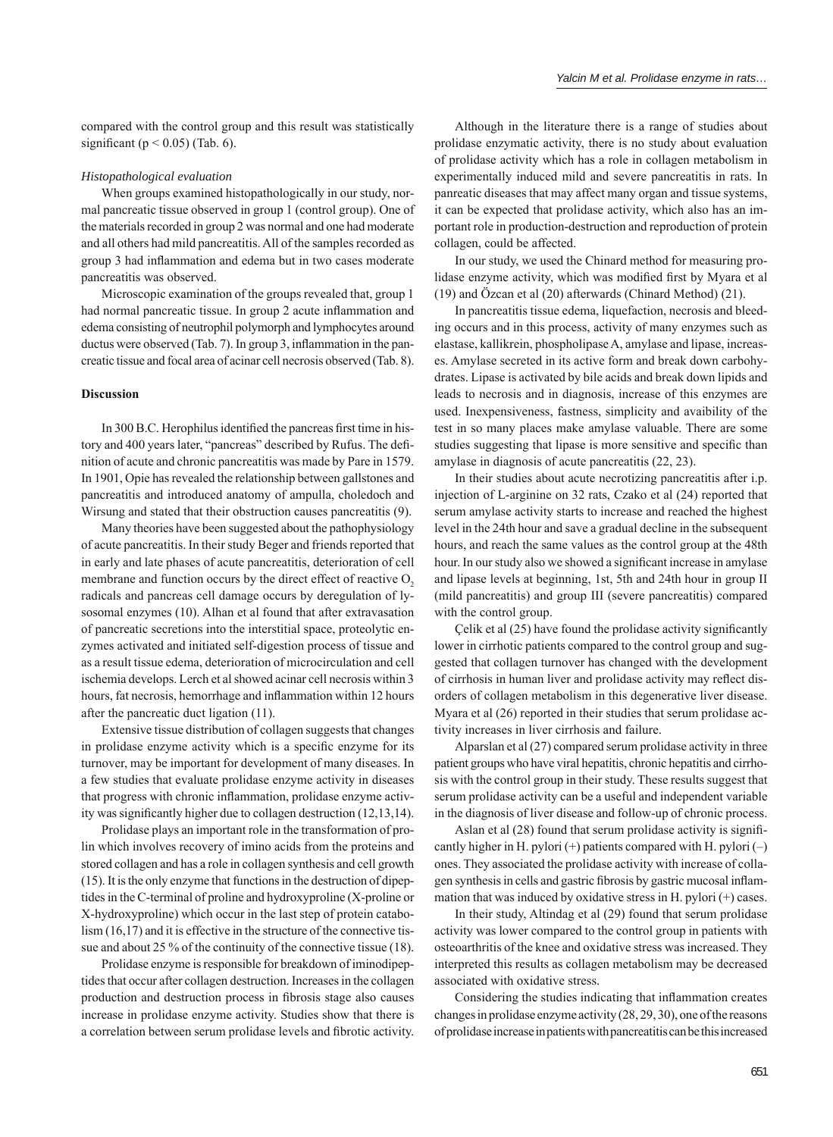compared with the control group and this result was statistically significant ( $p < 0.05$ ) (Tab. 6).

#### *Histopathological evaluation*

When groups examined histopathologically in our study, normal pancreatic tissue observed in group 1 (control group). One of the materials recorded in group 2 was normal and one had moderate and all others had mild pancreatitis. All of the samples recorded as group 3 had inflammation and edema but in two cases moderate pancreatitis was observed.

Microscopic examination of the groups revealed that, group 1 had normal pancreatic tissue. In group 2 acute inflammation and edema consisting of neutrophil polymorph and lymphocytes around ductus were observed (Tab. 7). In group  $3$ , inflammation in the pancreatic tissue and focal area of acinar cell necrosis observed (Tab. 8).

#### **Discussion**

In 300 B.C. Herophilus identified the pancreas first time in history and 400 years later, "pancreas" described by Rufus. The definition of acute and chronic pancreatitis was made by Pare in 1579. In 1901, Opie has revealed the relationship between gallstones and pancreatitis and introduced anatomy of ampulla, choledoch and Wirsung and stated that their obstruction causes pancreatitis (9).

Many theories have been suggested about the pathophysiology of acute pancreatitis. In their study Beger and friends reported that in early and late phases of acute pancreatitis, deterioration of cell membrane and function occurs by the direct effect of reactive  $O<sub>2</sub>$ radicals and pancreas cell damage occurs by deregulation of lysosomal enzymes (10). Alhan et al found that after extravasation of pancreatic secretions into the interstitial space, proteolytic enzymes activated and initiated self-digestion process of tissue and as a result tissue edema, deterioration of microcirculation and cell ischemia develops. Lerch et al showed acinar cell necrosis within 3 hours, fat necrosis, hemorrhage and inflammation within 12 hours after the pancreatic duct ligation (11).

Extensive tissue distribution of collagen suggests that changes in prolidase enzyme activity which is a specific enzyme for its turnover, may be important for development of many diseases. In a few studies that evaluate prolidase enzyme activity in diseases that progress with chronic inflammation, prolidase enzyme activity was significantly higher due to collagen destruction  $(12,13,14)$ .

Prolidase plays an important role in the transformation of prolin which involves recovery of imino acids from the proteins and stored collagen and has a role in collagen synthesis and cell growth (15). It is the only enzyme that functions in the destruction of dipeptides in the C-terminal of proline and hydroxyproline (X-proline or X-hydroxyproline) which occur in the last step of protein catabolism (16,17) and it is effective in the structure of the connective tissue and about 25 % of the continuity of the connective tissue (18).

Prolidase enzyme is responsible for breakdown of iminodipeptides that occur after collagen destruction. Increases in the collagen production and destruction process in fibrosis stage also causes increase in prolidase enzyme activity. Studies show that there is a correlation between serum prolidase levels and fibrotic activity.

Although in the literature there is a range of studies about prolidase enzymatic activity, there is no study about evaluation of prolidase activity which has a role in collagen metabolism in experimentally induced mild and severe pancreatitis in rats. In panreatic diseases that may affect many organ and tissue systems, it can be expected that prolidase activity, which also has an important role in production-destruction and reproduction of protein collagen, could be affected.

In our study, we used the Chinard method for measuring prolidase enzyme activity, which was modified first by Myara et all (19) and Özcan et al (20) afterwards (Chinard Method) (21).

In pancreatitis tissue edema, liquefaction, necrosis and bleeding occurs and in this process, activity of many enzymes such as elastase, kallikrein, phospholipase A, amylase and lipase, increases. Amylase secreted in its active form and break down carbohydrates. Lipase is activated by bile acids and break down lipids and leads to necrosis and in diagnosis, increase of this enzymes are used. Inexpensiveness, fastness, simplicity and avaibility of the test in so many places make amylase valuable. There are some studies suggesting that lipase is more sensitive and specific than amylase in diagnosis of acute pancreatitis (22, 23).

In their studies about acute necrotizing pancreatitis after i.p. injection of L-arginine on 32 rats, Czako et al (24) reported that serum amylase activity starts to increase and reached the highest level in the 24th hour and save a gradual decline in the subsequent hours, and reach the same values as the control group at the 48th hour. In our study also we showed a significant increase in amylase and lipase levels at beginning, 1st, 5th and 24th hour in group II (mild pancreatitis) and group III (severe pancreatitis) compared with the control group.

Celik et al  $(25)$  have found the prolidase activity significantly lower in cirrhotic patients compared to the control group and suggested that collagen turnover has changed with the development of cirrhosis in human liver and prolidase activity may reflect disorders of collagen metabolism in this degenerative liver disease. Myara et al (26) reported in their studies that serum prolidase activity increases in liver cirrhosis and failure.

Alparslan et al (27) compared serum prolidase activity in three patient groups who have viral hepatitis, chronic hepatitis and cirrhosis with the control group in their study. These results suggest that serum prolidase activity can be a useful and independent variable in the diagnosis of liver disease and follow-up of chronic process.

Aslan et al (28) found that serum prolidase activity is significantly higher in H. pylori  $(+)$  patients compared with H. pylori  $(-)$ ones. They associated the prolidase activity with increase of collagen synthesis in cells and gastric fibrosis by gastric mucosal inflammation that was induced by oxidative stress in H. pylori (+) cases.

In their study, Altindag et al (29) found that serum prolidase activity was lower compared to the control group in patients with osteoarthritis of the knee and oxidative stress was increased. They interpreted this results as collagen metabolism may be decreased associated with oxidative stress.

Considering the studies indicating that inflammation creates changes in prolidase enzyme activity (28, 29, 30), one of the reasons of prolidase increase in patients with pancreatitis can be this increased